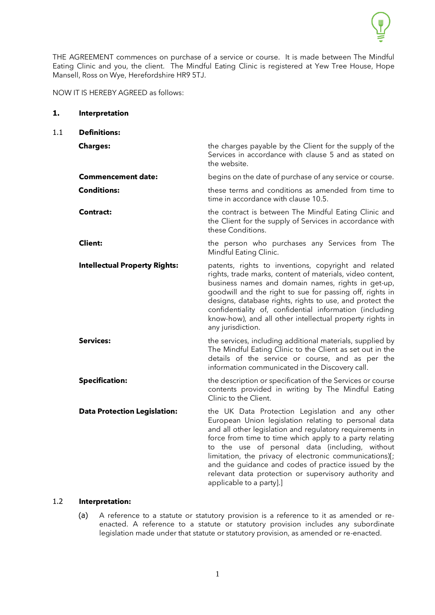

THE AGREEMENT commences on purchase of a service or course. It is made between The Mindful Eating Clinic and you, the client. The Mindful Eating Clinic is registered at Yew Tree House, Hope Mansell, Ross on Wye, Herefordshire HR9 5TJ.

NOW IT IS HEREBY AGREED as follows:

| 1.  | Interpretation                       |                                                                                                                                                                                                                                                                                                                                                                                                                                                                                            |
|-----|--------------------------------------|--------------------------------------------------------------------------------------------------------------------------------------------------------------------------------------------------------------------------------------------------------------------------------------------------------------------------------------------------------------------------------------------------------------------------------------------------------------------------------------------|
| 1.1 | <b>Definitions:</b>                  |                                                                                                                                                                                                                                                                                                                                                                                                                                                                                            |
|     | <b>Charges:</b>                      | the charges payable by the Client for the supply of the<br>Services in accordance with clause 5 and as stated on<br>the website.                                                                                                                                                                                                                                                                                                                                                           |
|     | <b>Commencement date:</b>            | begins on the date of purchase of any service or course.                                                                                                                                                                                                                                                                                                                                                                                                                                   |
|     | <b>Conditions:</b>                   | these terms and conditions as amended from time to<br>time in accordance with clause 10.5.                                                                                                                                                                                                                                                                                                                                                                                                 |
|     | Contract:                            | the contract is between The Mindful Eating Clinic and<br>the Client for the supply of Services in accordance with<br>these Conditions.                                                                                                                                                                                                                                                                                                                                                     |
|     | <b>Client:</b>                       | the person who purchases any Services from The<br>Mindful Eating Clinic.                                                                                                                                                                                                                                                                                                                                                                                                                   |
|     | <b>Intellectual Property Rights:</b> | patents, rights to inventions, copyright and related<br>rights, trade marks, content of materials, video content,<br>business names and domain names, rights in get-up,<br>goodwill and the right to sue for passing off, rights in<br>designs, database rights, rights to use, and protect the<br>confidentiality of, confidential information (including<br>know-how), and all other intellectual property rights in<br>any jurisdiction.                                                |
|     | <b>Services:</b>                     | the services, including additional materials, supplied by<br>The Mindful Eating Clinic to the Client as set out in the<br>details of the service or course, and as per the<br>information communicated in the Discovery call.                                                                                                                                                                                                                                                              |
|     | <b>Specification:</b>                | the description or specification of the Services or course<br>contents provided in writing by The Mindful Eating<br>Clinic to the Client.                                                                                                                                                                                                                                                                                                                                                  |
|     | <b>Data Protection Legislation:</b>  | the UK Data Protection Legislation and any other<br>European Union legislation relating to personal data<br>and all other legislation and regulatory requirements in<br>force from time to time which apply to a party relating<br>to the use of personal data (including, without<br>limitation, the privacy of electronic communications)[;<br>and the guidance and codes of practice issued by the<br>relevant data protection or supervisory authority and<br>applicable to a party].] |

# 1.2 **Interpretation:**

(a) A reference to a statute or statutory provision is a reference to it as amended or reenacted. A reference to a statute or statutory provision includes any subordinate legislation made under that statute or statutory provision, as amended or re-enacted.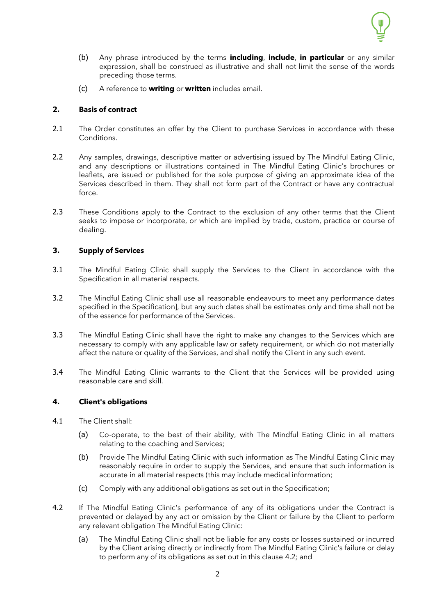

- (b) Any phrase introduced by the terms **including**, **include**, **in particular** or any similar expression, shall be construed as illustrative and shall not limit the sense of the words preceding those terms.
- (c) A reference to **writing** or **written** includes email.

## **2. Basis of contract**

- 2.1 The Order constitutes an offer by the Client to purchase Services in accordance with these Conditions.
- 2.2 Any samples, drawings, descriptive matter or advertising issued by The Mindful Eating Clinic, and any descriptions or illustrations contained in The Mindful Eating Clinic's brochures or leaflets, are issued or published for the sole purpose of giving an approximate idea of the Services described in them. They shall not form part of the Contract or have any contractual force.
- 2.3 These Conditions apply to the Contract to the exclusion of any other terms that the Client seeks to impose or incorporate, or which are implied by trade, custom, practice or course of dealing.

## **3. Supply of Services**

- 3.1 The Mindful Eating Clinic shall supply the Services to the Client in accordance with the Specification in all material respects.
- 3.2 The Mindful Eating Clinic shall use all reasonable endeavours to meet any performance dates specified in the Specification], but any such dates shall be estimates only and time shall not be of the essence for performance of the Services.
- 3.3 The Mindful Eating Clinic shall have the right to make any changes to the Services which are necessary to comply with any applicable law or safety requirement, or which do not materially affect the nature or quality of the Services, and shall notify the Client in any such event.
- 3.4 The Mindful Eating Clinic warrants to the Client that the Services will be provided using reasonable care and skill.

### **4. Client's obligations**

- 4.1 The Client shall:
	- (a) Co-operate, to the best of their ability, with The Mindful Eating Clinic in all matters relating to the coaching and Services;
	- (b) Provide The Mindful Eating Clinic with such information as The Mindful Eating Clinic may reasonably require in order to supply the Services, and ensure that such information is accurate in all material respects (this may include medical information;
	- (c) Comply with any additional obligations as set out in the Specification;
- <span id="page-1-0"></span>4.2 If The Mindful Eating Clinic's performance of any of its obligations under the Contract is prevented or delayed by any act or omission by the Client or failure by the Client to perform any relevant obligation The Mindful Eating Clinic:
	- (a) The Mindful Eating Clinic shall not be liable for any costs or losses sustained or incurred by the Client arising directly or indirectly from The Mindful Eating Clinic's failure or delay to perform any of its obligations as set out in this clause [4.2;](#page-1-0) and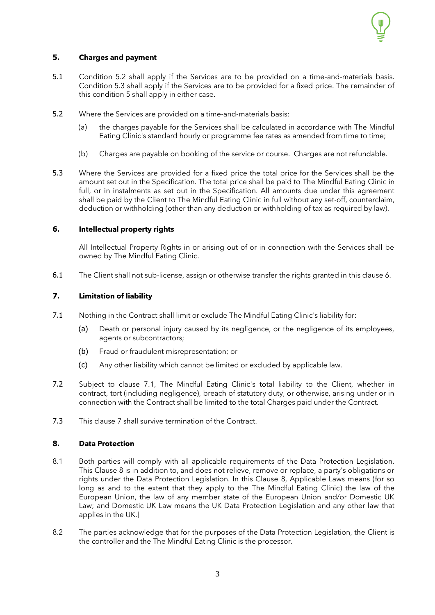

## <span id="page-2-0"></span>**5. Charges and payment**

- 5.1 Condition 5.2 shall apply if the Services are to be provided on a time-and-materials basis. Condition 5.3 shall apply if the Services are to be provided for a fixed price. The remainder of this condition 5 shall apply in either case.
- 5.2 Where the Services are provided on a time-and-materials basis:
	- (a) the charges payable for the Services shall be calculated in accordance with The Mindful Eating Clinic's standard hourly or programme fee rates as amended from time to time;
	- (b) Charges are payable on booking of the service or course. Charges are not refundable.
- 5.3 Where the Services are provided for a fixed price the total price for the Services shall be the amount set out in the Specification. The total price shall be paid to The Mindful Eating Clinic in full, or in instalments as set out in the Specification. All amounts due under this agreement shall be paid by the Client to The Mindful Eating Clinic in full without any set-off, counterclaim, deduction or withholding (other than any deduction or withholding of tax as required by law).

## **6. Intellectual property rights**

All Intellectual Property Rights in or arising out of or in connection with the Services shall be owned by The Mindful Eating Clinic.

6.1 The Client shall not sub-license, assign or otherwise transfer the rights granted in this clause 6.

### <span id="page-2-1"></span>**7. Limitation of liability**

- 7.1 Nothing in the Contract shall limit or exclude The Mindful Eating Clinic's liability for:
	- (a) Death or personal injury caused by its negligence, or the negligence of its employees, agents or subcontractors;
	- (b) Fraud or fraudulent misrepresentation; or
	- (c) Any other liability which cannot be limited or excluded by applicable law.
- 7.2 Subject to clause 7.1, The Mindful Eating Clinic's total liability to the Client, whether in contract, tort (including negligence), breach of statutory duty, or otherwise, arising under or in connection with the Contract shall be limited to the total Charges paid under the Contract.
- 7.3 This clause [7](#page-2-1) shall survive termination of the Contract.

## **8. Data Protection**

- 8.1 Both parties will comply with all applicable requirements of the Data Protection Legislation. This Clause 8 is in addition to, and does not relieve, remove or replace, a party's obligations or rights under the Data Protection Legislation. In this Clause 8, Applicable Laws means (for so long as and to the extent that they apply to the The Mindful Eating Clinic) the law of the European Union, the law of any member state of the European Union and/or Domestic UK Law; and Domestic UK Law means the UK Data Protection Legislation and any other law that applies in the UK.]
- 8.2 The parties acknowledge that for the purposes of the Data Protection Legislation, the Client is the controller and the The Mindful Eating Clinic is the processor.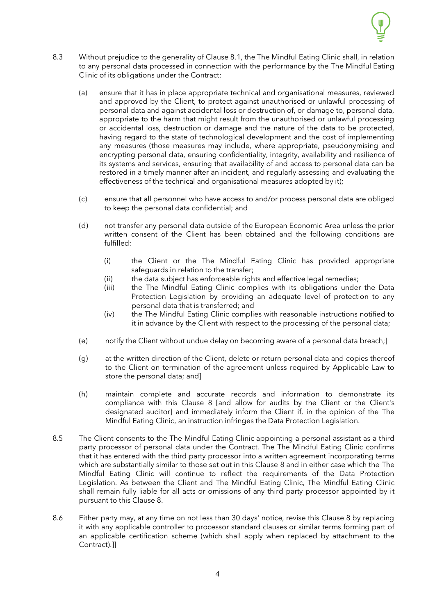

- 8.3 Without prejudice to the generality of Clause 8.1, the The Mindful Eating Clinic shall, in relation to any personal data processed in connection with the performance by the The Mindful Eating Clinic of its obligations under the Contract:
	- (a) ensure that it has in place appropriate technical and organisational measures, reviewed and approved by the Client, to protect against unauthorised or unlawful processing of personal data and against accidental loss or destruction of, or damage to, personal data, appropriate to the harm that might result from the unauthorised or unlawful processing or accidental loss, destruction or damage and the nature of the data to be protected, having regard to the state of technological development and the cost of implementing any measures (those measures may include, where appropriate, pseudonymising and encrypting personal data, ensuring confidentiality, integrity, availability and resilience of its systems and services, ensuring that availability of and access to personal data can be restored in a timely manner after an incident, and regularly assessing and evaluating the effectiveness of the technical and organisational measures adopted by it);
	- (c) ensure that all personnel who have access to and/or process personal data are obliged to keep the personal data confidential; and
	- (d) not transfer any personal data outside of the European Economic Area unless the prior written consent of the Client has been obtained and the following conditions are fulfilled:
		- (i) the Client or the The Mindful Eating Clinic has provided appropriate safeguards in relation to the transfer;
		- (ii) the data subject has enforceable rights and effective legal remedies;
		- (iii) the The Mindful Eating Clinic complies with its obligations under the Data Protection Legislation by providing an adequate level of protection to any personal data that is transferred; and
		- (iv) the The Mindful Eating Clinic complies with reasonable instructions notified to it in advance by the Client with respect to the processing of the personal data;
	- (e) notify the Client without undue delay on becoming aware of a personal data breach;]
	- (g) at the written direction of the Client, delete or return personal data and copies thereof to the Client on termination of the agreement unless required by Applicable Law to store the personal data; and]
	- (h) maintain complete and accurate records and information to demonstrate its compliance with this Clause 8 [and allow for audits by the Client or the Client's designated auditor] and immediately inform the Client if, in the opinion of the The Mindful Eating Clinic, an instruction infringes the Data Protection Legislation.
- 8.5 The Client consents to the The Mindful Eating Clinic appointing a personal assistant as a third party processor of personal data under the Contract. The The Mindful Eating Clinic confirms that it has entered with the third party processor into a written agreement incorporating terms which are substantially similar to those set out in this Clause 8 and in either case which the The Mindful Eating Clinic will continue to reflect the requirements of the Data Protection Legislation. As between the Client and The Mindful Eating Clinic, The Mindful Eating Clinic shall remain fully liable for all acts or omissions of any third party processor appointed by it pursuant to this Clause 8.
- 8.6 Either party may, at any time on not less than 30 days' notice, revise this Clause 8 by replacing it with any applicable controller to processor standard clauses or similar terms forming part of an applicable certification scheme (which shall apply when replaced by attachment to the Contract).]]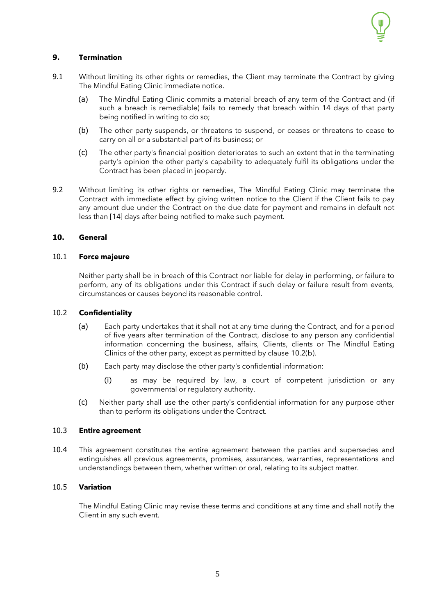

## **9. Termination**

- 9.1 Without limiting its other rights or remedies, the Client may terminate the Contract by giving The Mindful Eating Clinic immediate notice.
	- (a) The Mindful Eating Clinic commits a material breach of any term of the Contract and (if such a breach is remediable) fails to remedy that breach within 14 days of that party being notified in writing to do so;
	- (b) The other party suspends, or threatens to suspend, or ceases or threatens to cease to carry on all or a substantial part of its business; or
	- (c) The other party's financial position deteriorates to such an extent that in the terminating party's opinion the other party's capability to adequately fulfil its obligations under the Contract has been placed in jeopardy.
- 9.2 Without limiting its other rights or remedies, The Mindful Eating Clinic may terminate the Contract with immediate effect by giving written notice to the Client if the Client fails to pay any amount due under the Contract on the due date for payment and remains in default not less than [14] days after being notified to make such payment.

## **10. General**

### 10.1 **Force majeure**

Neither party shall be in breach of this Contract nor liable for delay in performing, or failure to perform, any of its obligations under this Contract if such delay or failure result from events, circumstances or causes beyond its reasonable control.

### 10.2 **Confidentiality**

- (a) Each party undertakes that it shall not at any time during the Contract, and for a period of five years after termination of the Contract, disclose to any person any confidential information concerning the business, affairs, Clients, clients or The Mindful Eating Clinics of the other party, except as permitted by clause [10.2\(b\).](#page-4-1)
- <span id="page-4-1"></span>(b) Each party may disclose the other party's confidential information:
	- (i) as may be required by law, a court of competent jurisdiction or any governmental or regulatory authority.
- (c) Neither party shall use the other party's confidential information for any purpose other than to perform its obligations under the Contract.

#### 10.3 **Entire agreement**

10.4 This agreement constitutes the entire agreement between the parties and supersedes and extinguishes all previous agreements, promises, assurances, warranties, representations and understandings between them, whether written or oral, relating to its subject matter.

## <span id="page-4-0"></span>10.5 **Variation**

The Mindful Eating Clinic may revise these terms and conditions at any time and shall notify the Client in any such event.